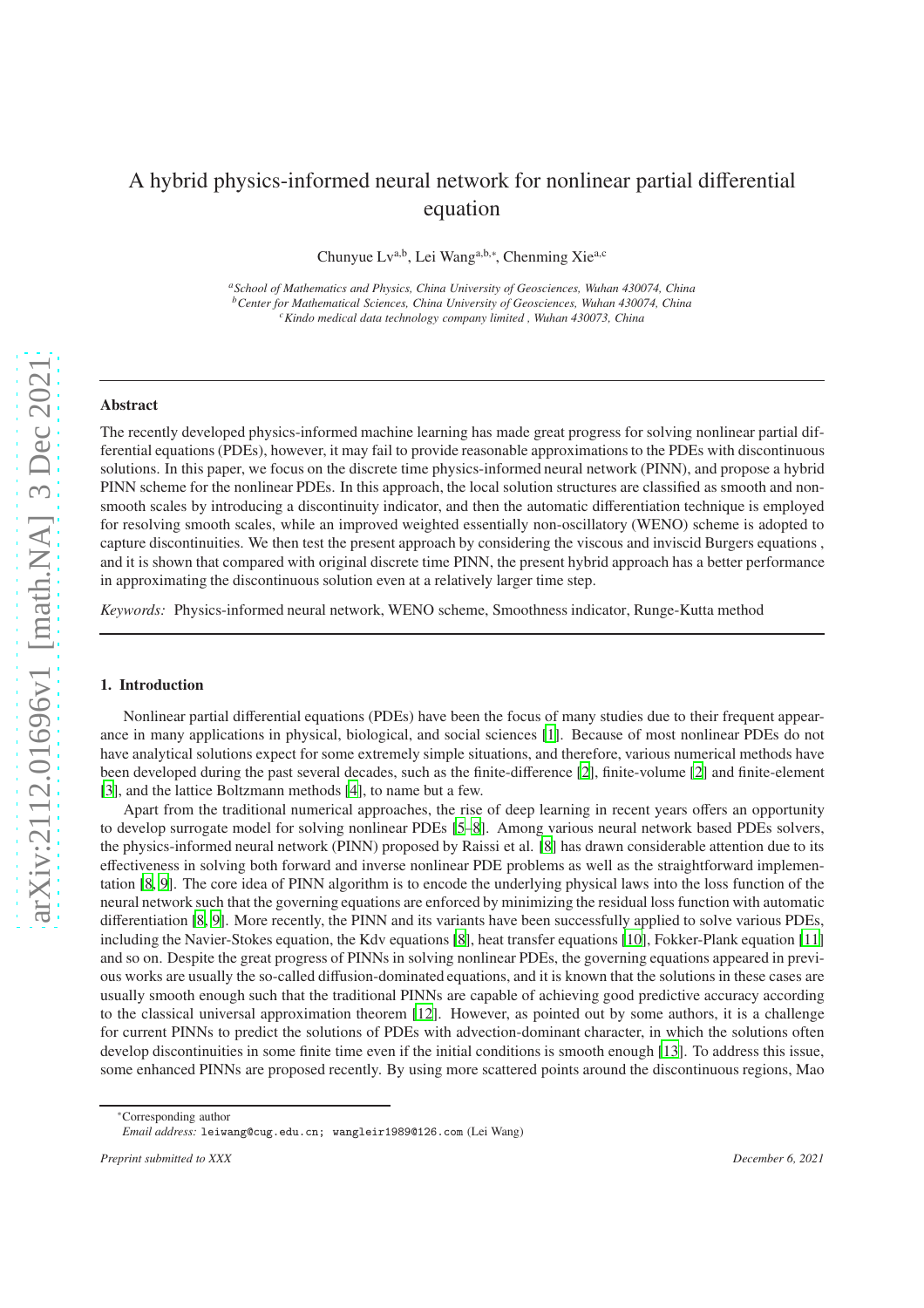# A hybrid physics-informed neural network for nonlinear partial differential equation

Chunyue Lv<sup>a,b</sup>, Lei Wang<sup>a,b,∗</sup>, Chenming Xie<sup>a,c</sup>

*<sup>a</sup>School of Mathematics and Physics, China University of Geosciences, Wuhan 430074, China <sup>b</sup>Center for Mathematical Sciences, China University of Geosciences, Wuhan 430074, China <sup>c</sup>Kindo medical data technology company limited , Wuhan 430073, China*

# Abstract

The recently developed physics-informed machine learning has made great progress for solving nonlinear partial differential equations (PDEs), however, it may fail to provide reasonable approximations to the PDEs with discontinuous solutions. In this paper, we focus on the discrete time physics-informed neural network (PINN), and propose a hybrid PINN scheme for the nonlinear PDEs. In this approach, the local solution structures are classified as smooth and nonsmooth scales by introducing a discontinuity indicator, and then the automatic differentiation technique is employed for resolving smooth scales, while an improved weighted essentially non-oscillatory (WENO) scheme is adopted to capture discontinuities. We then test the present approach by considering the viscous and inviscid Burgers equations , and it is shown that compared with original discrete time PINN, the present hybrid approach has a better performance in approximating the discontinuous solution even at a relatively larger time step.

*Keywords:* Physics-informed neural network, WENO scheme, Smoothness indicator, Runge-Kutta method

## 1. Introduction

Nonlinear partial differential equations (PDEs) have been the focus of many studies due to their frequent appearance in many applications in physical, biological, and social sciences [\[1](#page-6-0)]. Because of most nonlinear PDEs do not have analytical solutions expect for some extremely simple situations, and therefore, various numerical methods have been developed during the past several decades, such as the finite-difference [\[2\]](#page-6-1), finite-volume [\[2\]](#page-6-1) and finite-element [\[3\]](#page-6-2), and the lattice Boltzmann methods [\[4](#page-6-3)], to name but a few.

Apart from the traditional numerical approaches, the rise of deep learning in recent years offers an opportunity to develop surrogate model for solving nonlinear PDEs [\[5](#page-6-4)[–8](#page-6-5)]. Among various neural network based PDEs solvers, the physics-informed neural network (PINN) proposed by Raissi et al. [\[8](#page-6-5)] has drawn considerable attention due to its effectiveness in solving both forward and inverse nonlinear PDE problems as well as the straightforward implementation [\[8](#page-6-5), [9](#page-6-6)]. The core idea of PINN algorithm is to encode the underlying physical laws into the loss function of the neural network such that the governing equations are enforced by minimizing the residual loss function with automatic differentiation [\[8,](#page-6-5) [9\]](#page-6-6). More recently, the PINN and its variants have been successfully applied to solve various PDEs, including the Navier-Stokes equation, the Kdv equations [\[8\]](#page-6-5), heat transfer equations [\[10](#page-6-7)], Fokker-Plank equation [\[11\]](#page-6-8) and so on. Despite the great progress of PINNs in solving nonlinear PDEs, the governing equations appeared in previous works are usually the so-called diffusion-dominated equations, and it is known that the solutions in these cases are usually smooth enough such that the traditional PINNs are capable of achieving good predictive accuracy according to the classical universal approximation theorem [\[12\]](#page-6-9). However, as pointed out by some authors, it is a challenge for current PINNs to predict the solutions of PDEs with advection-dominant character, in which the solutions often develop discontinuities in some finite time even if the initial conditions is smooth enough [\[13\]](#page-6-10). To address this issue, some enhanced PINNs are proposed recently. By using more scattered points around the discontinuous regions, Mao

<sup>∗</sup>Corresponding author

*Email address:* leiwang@cug.edu.cn; wangleir1989@126.com (Lei Wang)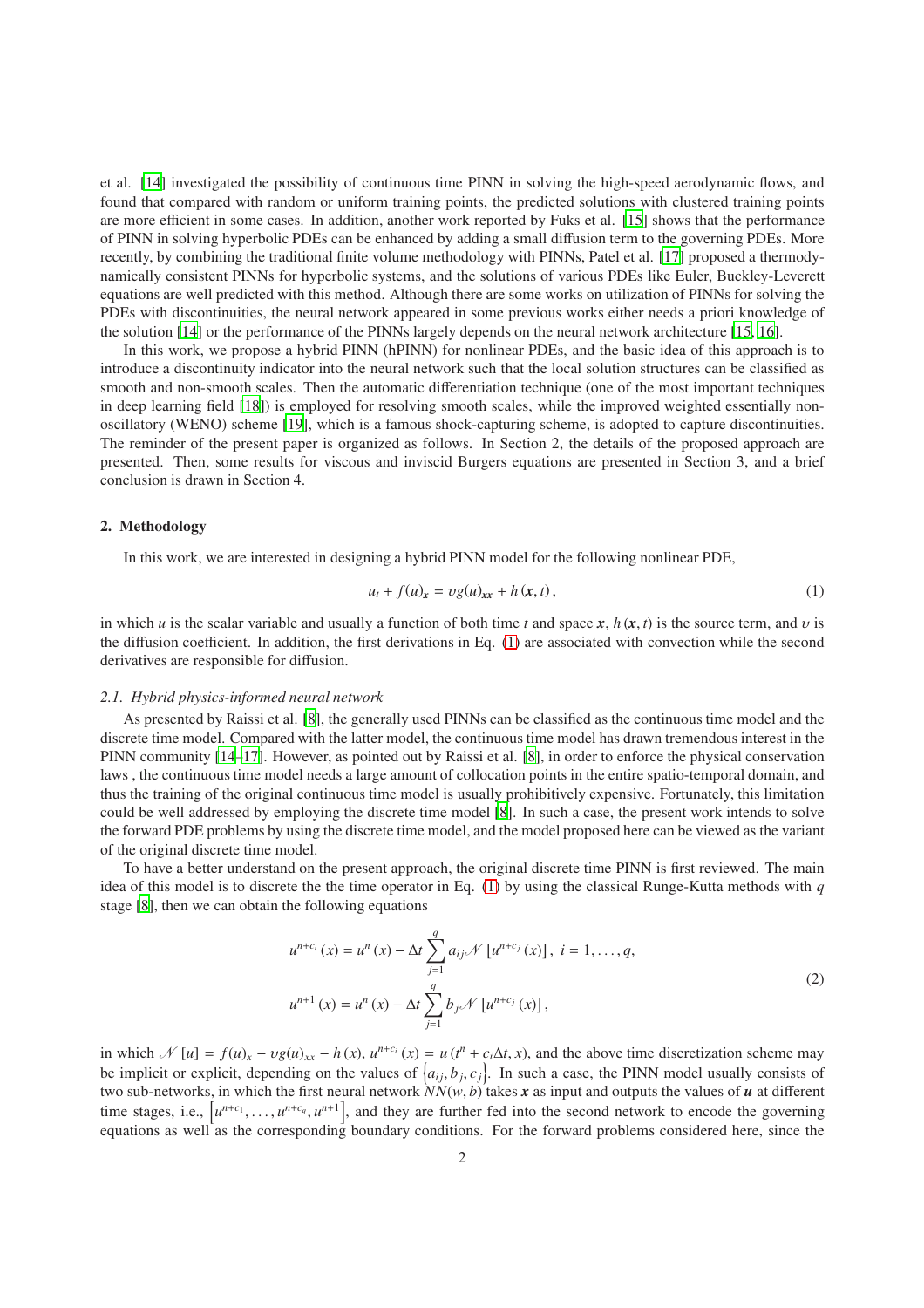et al. [\[14\]](#page-6-11) investigated the possibility of continuous time PINN in solving the high-speed aerodynamic flows, and found that compared with random or uniform training points, the predicted solutions with clustered training points are more efficient in some cases. In addition, another work reported by Fuks et al. [\[15\]](#page-6-12) shows that the performance of PINN in solving hyperbolic PDEs can be enhanced by adding a small diffusion term to the governing PDEs. More recently, by combining the traditional finite volume methodology with PINNs, Patel et al. [\[17\]](#page-7-0) proposed a thermodynamically consistent PINNs for hyperbolic systems, and the solutions of various PDEs like Euler, Buckley-Leverett equations are well predicted with this method. Although there are some works on utilization of PINNs for solving the PDEs with discontinuities, the neural network appeared in some previous works either needs a priori knowledge of the solution [\[14](#page-6-11)] or the performance of the PINNs largely depends on the neural network architecture [\[15,](#page-6-12) [16\]](#page-7-1).

In this work, we propose a hybrid PINN (hPINN) for nonlinear PDEs, and the basic idea of this approach is to introduce a discontinuity indicator into the neural network such that the local solution structures can be classified as smooth and non-smooth scales. Then the automatic differentiation technique (one of the most important techniques in deep learning field [\[18](#page-7-2)]) is employed for resolving smooth scales, while the improved weighted essentially nonoscillatory (WENO) scheme [\[19](#page-7-3)], which is a famous shock-capturing scheme, is adopted to capture discontinuities. The reminder of the present paper is organized as follows. In Section 2, the details of the proposed approach are presented. Then, some results for viscous and inviscid Burgers equations are presented in Section 3, and a brief conclusion is drawn in Section 4.

## 2. Methodology

In this work, we are interested in designing a hybrid PINN model for the following nonlinear PDE,

<span id="page-1-0"></span>
$$
u_t + f(u_x) = \nu g(u_{xx} + h(x, t), \tag{1}
$$

in which *u* is the scalar variable and usually a function of both time *t* and space  $x$ ,  $h(x, t)$  is the source term, and v is the diffusion coefficient. In addition, the first derivations in Eq. [\(1\)](#page-1-0) are associated with convection while the second derivatives are responsible for diffusion.

#### *2.1. Hybrid physics-informed neural network*

As presented by Raissi et al. [\[8](#page-6-5)], the generally used PINNs can be classified as the continuous time model and the discrete time model. Compared with the latter model, the continuous time model has drawn tremendous interest in the PINN community [\[14](#page-6-11)[–17\]](#page-7-0). However, as pointed out by Raissi et al. [\[8\]](#page-6-5), in order to enforce the physical conservation laws , the continuous time model needs a large amount of collocation points in the entire spatio-temporal domain, and thus the training of the original continuous time model is usually prohibitively expensive. Fortunately, this limitation could be well addressed by employing the discrete time model [\[8\]](#page-6-5). In such a case, the present work intends to solve the forward PDE problems by using the discrete time model, and the model proposed here can be viewed as the variant of the original discrete time model.

To have a better understand on the present approach, the original discrete time PINN is first reviewed. The main idea of this model is to discrete the the time operator in Eq. [\(1\)](#page-1-0) by using the classical Runge-Kutta methods with *q* stage [\[8\]](#page-6-5), then we can obtain the following equations

$$
u^{n+c_i}(x) = u^n(x) - \Delta t \sum_{j=1}^q a_{ij} \mathcal{N}[u^{n+c_j}(x)], \ i = 1, ..., q,
$$
  

$$
u^{n+1}(x) = u^n(x) - \Delta t \sum_{j=1}^q b_j \mathcal{N}[u^{n+c_j}(x)],
$$
\n(2)

in which  $\mathcal{N}[u] = f(u)_x - \nu g(u)_{xx} - h(x)$ ,  $u^{n+c_i}(x) = u(t^n + c_i \Delta t, x)$ , and the above time discretization scheme may be implicit or explicit, depending on the values of  $\{a_{ij}, b_j, c_j\}$ . In such a case, the PINN model usually consists of two sub-networks, in which the first neural network  $NN(w, b)$  takes x as input and outputs the values of u at different time stages, i.e.,  $[u^{n+c_1}, \ldots, u^{n+c_q}, u^{n+1}]$ , and they are further fed into the second network to encode the governing equations as well as the corresponding boundary conditions. For the forward problems considered here, since the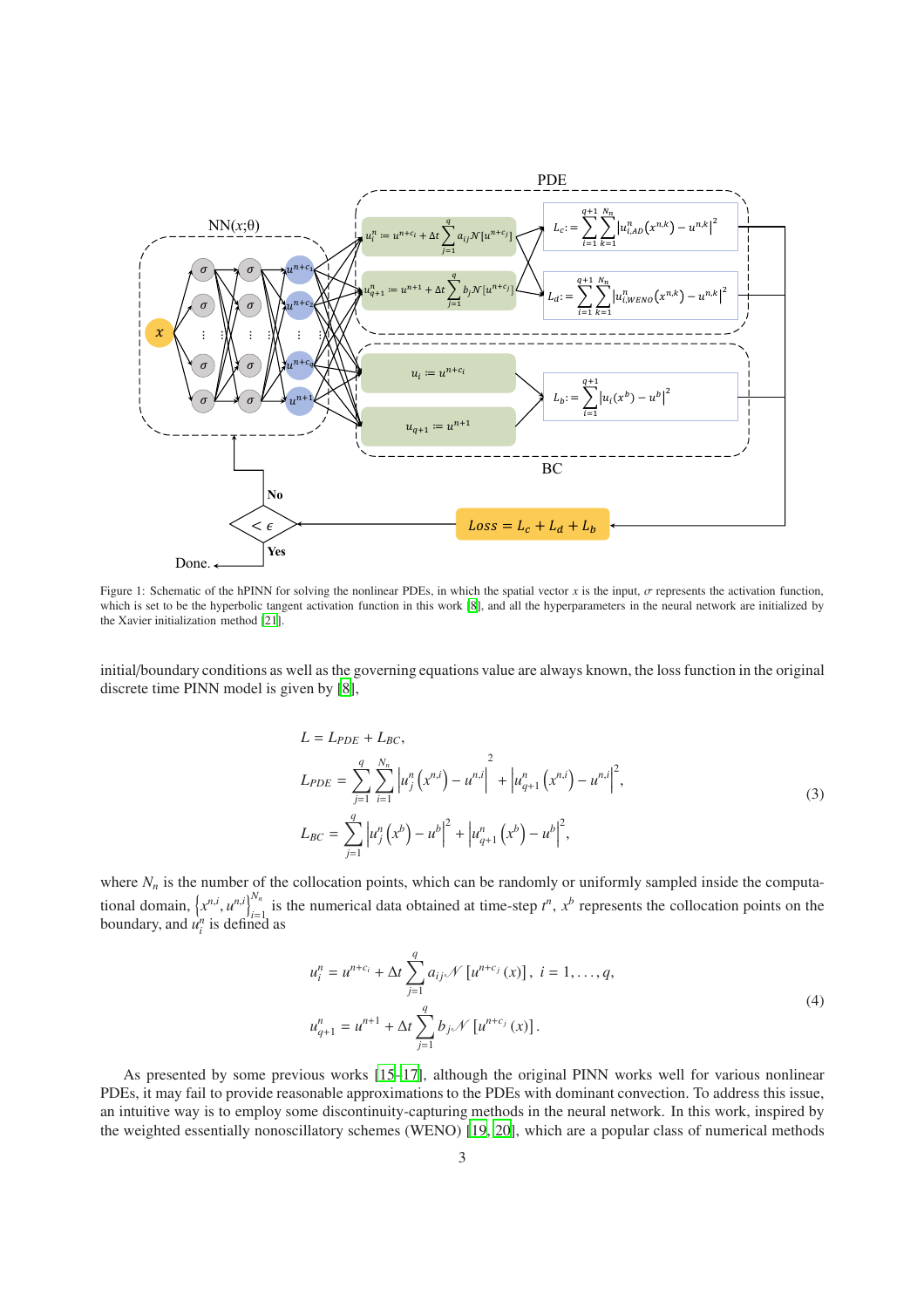<span id="page-2-0"></span>

Figure 1: Schematic of the hPINN for solving the nonlinear PDEs, in which the spatial vector *x* is the input,  $\sigma$  represents the activation function, which is set to be the hyperbolic tangent activation function in this work [\[8](#page-6-5)], and all the hyperparameters in the neural network are initialized by the Xavier initialization method [\[21\]](#page-7-4).

initial/boundary conditions as well as the governing equations value are always known, the loss function in the original discrete time PINN model is given by [\[8](#page-6-5)],

$$
L = L_{PDE} + L_{BC},
$$
  
\n
$$
L_{PDE} = \sum_{j=1}^{q} \sum_{i=1}^{N_n} \left| u_j^n(x^{n,i}) - u^{n,i} \right|^2 + \left| u_{q+1}^n(x^{n,i}) - u^{n,i} \right|^2,
$$
  
\n
$$
L_{BC} = \sum_{j=1}^{q} \left| u_j^n(x^b) - u^b \right|^2 + \left| u_{q+1}^n(x^b) - u^b \right|^2,
$$
\n(3)

where  $N_n$  is the number of the collocation points, which can be randomly or uniformly sampled inside the computational domain,  $\{x^{n,i}, u^{n,i}\}_{i=1}^{N_n}$  is the numerical data obtained at time-step  $t^n$ ,  $x^b$  represents the collocation points on the boundary, and  $\hat{u}_i^n$  is defined as

$$
u_i^n = u^{n+c_i} + \Delta t \sum_{j=1}^q a_{ij} \mathcal{N} [u^{n+c_j}(x)], \ i = 1, ..., q,
$$
  

$$
u_{q+1}^n = u^{n+1} + \Delta t \sum_{j=1}^q b_j \mathcal{N} [u^{n+c_j}(x)].
$$
  
(4)

As presented by some previous works [\[15](#page-6-12)[–17](#page-7-0)], although the original PINN works well for various nonlinear PDEs, it may fail to provide reasonable approximations to the PDEs with dominant convection. To address this issue, an intuitive way is to employ some discontinuity-capturing methods in the neural network. In this work, inspired by the weighted essentially nonoscillatory schemes (WENO) [\[19,](#page-7-3) [20\]](#page-7-5), which are a popular class of numerical methods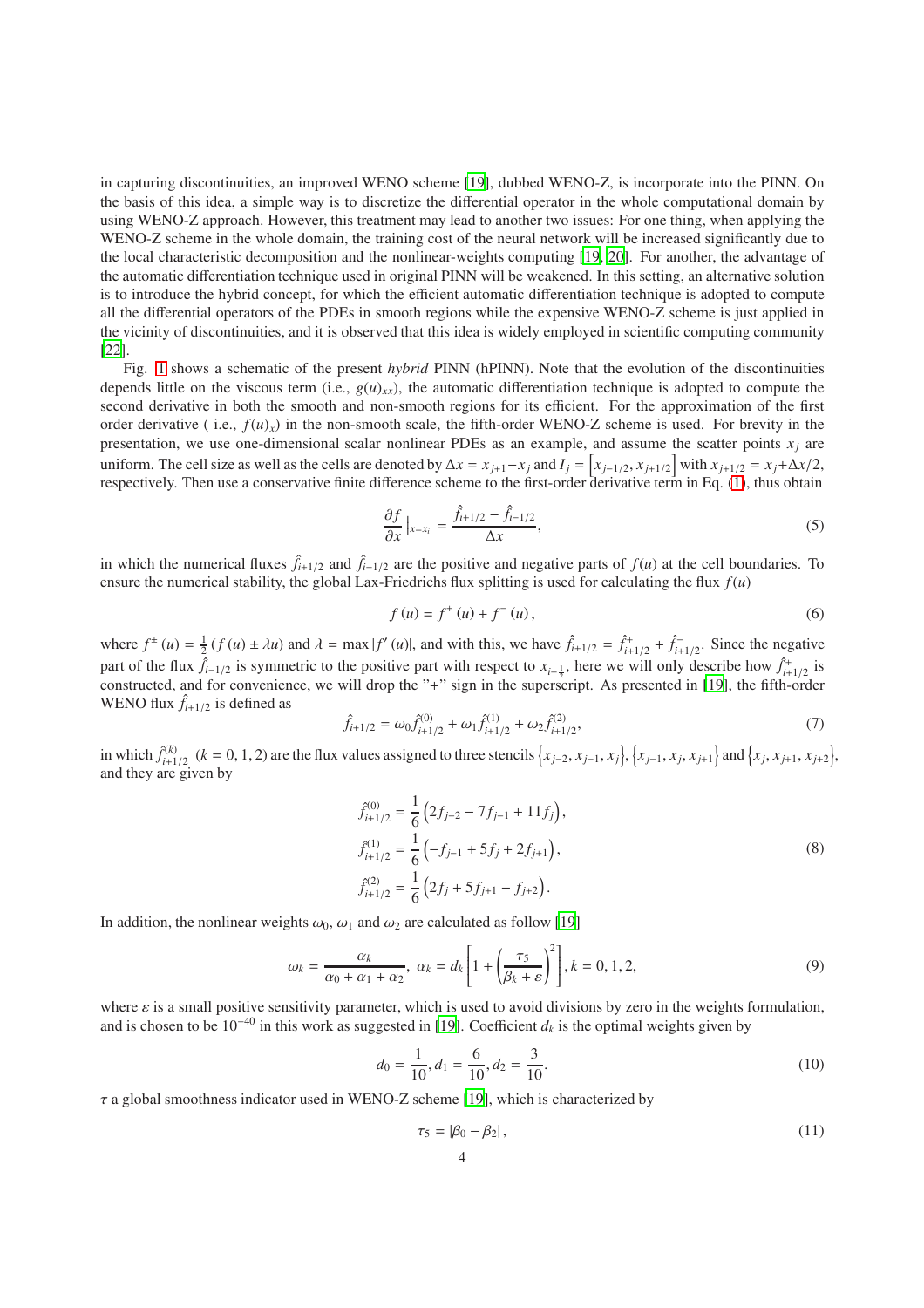in capturing discontinuities, an improved WENO scheme [\[19](#page-7-3)], dubbed WENO-Z, is incorporate into the PINN. On the basis of this idea, a simple way is to discretize the differential operator in the whole computational domain by using WENO-Z approach. However, this treatment may lead to another two issues: For one thing, when applying the WENO-Z scheme in the whole domain, the training cost of the neural network will be increased significantly due to the local characteristic decomposition and the nonlinear-weights computing [\[19](#page-7-3), [20\]](#page-7-5). For another, the advantage of the automatic differentiation technique used in original PINN will be weakened. In this setting, an alternative solution is to introduce the hybrid concept, for which the efficient automatic differentiation technique is adopted to compute all the differential operators of the PDEs in smooth regions while the expensive WENO-Z scheme is just applied in the vicinity of discontinuities, and it is observed that this idea is widely employed in scientific computing community [\[22\]](#page-7-6).

Fig. [1](#page-2-0) shows a schematic of the present *hybrid* PINN (hPINN). Note that the evolution of the discontinuities depends little on the viscous term (i.e.,  $g(u)_{xx}$ ), the automatic differentiation technique is adopted to compute the second derivative in both the smooth and non-smooth regions for its efficient. For the approximation of the first order derivative (i.e.,  $f(u)_x$ ) in the non-smooth scale, the fifth-order WENO-Z scheme is used. For brevity in the presentation, we use one-dimensional scalar nonlinear PDEs as an example, and assume the scatter points  $x_i$  are uniform. The cell size as well as the cells are denoted by  $\Delta x = x_{j+1} - x_j$  and  $I_j = [x_{j-1/2}, x_{j+1/2}]$  with  $x_{j+1/2} = x_j + \Delta x/2$ , respectively. Then use a conservative finite difference scheme to the first-order derivative term in Eq. [\(1\)](#page-1-0), thus obtain

$$
\frac{\partial f}{\partial x}\Big|_{x=x_i} = \frac{\hat{f}_{i+1/2} - \hat{f}_{i-1/2}}{\Delta x},\tag{5}
$$

in which the numerical fluxes  $\hat{f}_{i+1/2}$  and  $\hat{f}_{i-1/2}$  are the positive and negative parts of  $f(u)$  at the cell boundaries. To ensure the numerical stability, the global Lax-Friedrichs flux splitting is used for calculating the flux  $f(u)$ 

$$
f(u) = f^{+}(u) + f^{-}(u),
$$
\n(6)

where  $f^{\pm}(u) = \frac{1}{2}(f(u) \pm \lambda u)$  and  $\lambda = \max |f'(u)|$ , and with this, we have  $\hat{f}_{i+1/2} = \hat{f}_{i+1/2}^+ + \hat{f}_{i+1/2}^-$ . Since the negative part of the flux  $\hat{f}_{i-1/2}$  is symmetric to the positive part with respect to  $x_{i+\frac{1}{2}}$ , here we will only describe how  $\hat{f}_{i+1/2}^+$  is constructed, and for convenience, we will drop the "+" sign in the superscript. As presented in [\[19\]](#page-7-3), the fifth-order WENO flux  $\hat{f}_{i+1/2}$  is defined as

$$
\hat{f}_{i+1/2} = \omega_0 \hat{f}_{i+1/2}^{(0)} + \omega_1 \hat{f}_{i+1/2}^{(1)} + \omega_2 \hat{f}_{i+1/2}^{(2)},\tag{7}
$$

in which  $\hat{f}_{i+1/2}^{(k)}$  ( $k = 0, 1, 2$ ) are the flux values assigned to three stencils  $\left\{x_{j-2}, x_{j-1}, x_j\right\}, \left\{x_{j-1}, x_j, x_{j+1}\right\}$  and  $\left\{x_j, x_{j+1}, x_{j+2}\right\}$ , and they are given by

$$
\begin{aligned}\n\hat{f}_{i+1/2}^{(0)} &= \frac{1}{6} \left( 2f_{j-2} - 7f_{j-1} + 11f_j \right), \\
\hat{f}_{i+1/2}^{(1)} &= \frac{1}{6} \left( -f_{j-1} + 5f_j + 2f_{j+1} \right), \\
\hat{f}_{i+1/2}^{(2)} &= \frac{1}{6} \left( 2f_j + 5f_{j+1} - f_{j+2} \right).\n\end{aligned} \tag{8}
$$

In addition, the nonlinear weights  $\omega_0$ ,  $\omega_1$  and  $\omega_2$  are calculated as follow [\[19\]](#page-7-3)

$$
\omega_k = \frac{\alpha_k}{\alpha_0 + \alpha_1 + \alpha_2}, \ \alpha_k = d_k \left[ 1 + \left( \frac{\tau_5}{\beta_k + \varepsilon} \right)^2 \right], k = 0, 1, 2,
$$
\n
$$
(9)
$$

where  $\varepsilon$  is a small positive sensitivity parameter, which is used to avoid divisions by zero in the weights formulation, and is chosen to be  $10^{-40}$  in this work as suggested in [\[19](#page-7-3)]. Coefficient  $d_k$  is the optimal weights given by

$$
d_0 = \frac{1}{10}, d_1 = \frac{6}{10}, d_2 = \frac{3}{10}.
$$
\n(10)

 $\tau$  a global smoothness indicator used in WENO-Z scheme [\[19\]](#page-7-3), which is characterized by

$$
\tau_5 = |\beta_0 - \beta_2|,\tag{11}
$$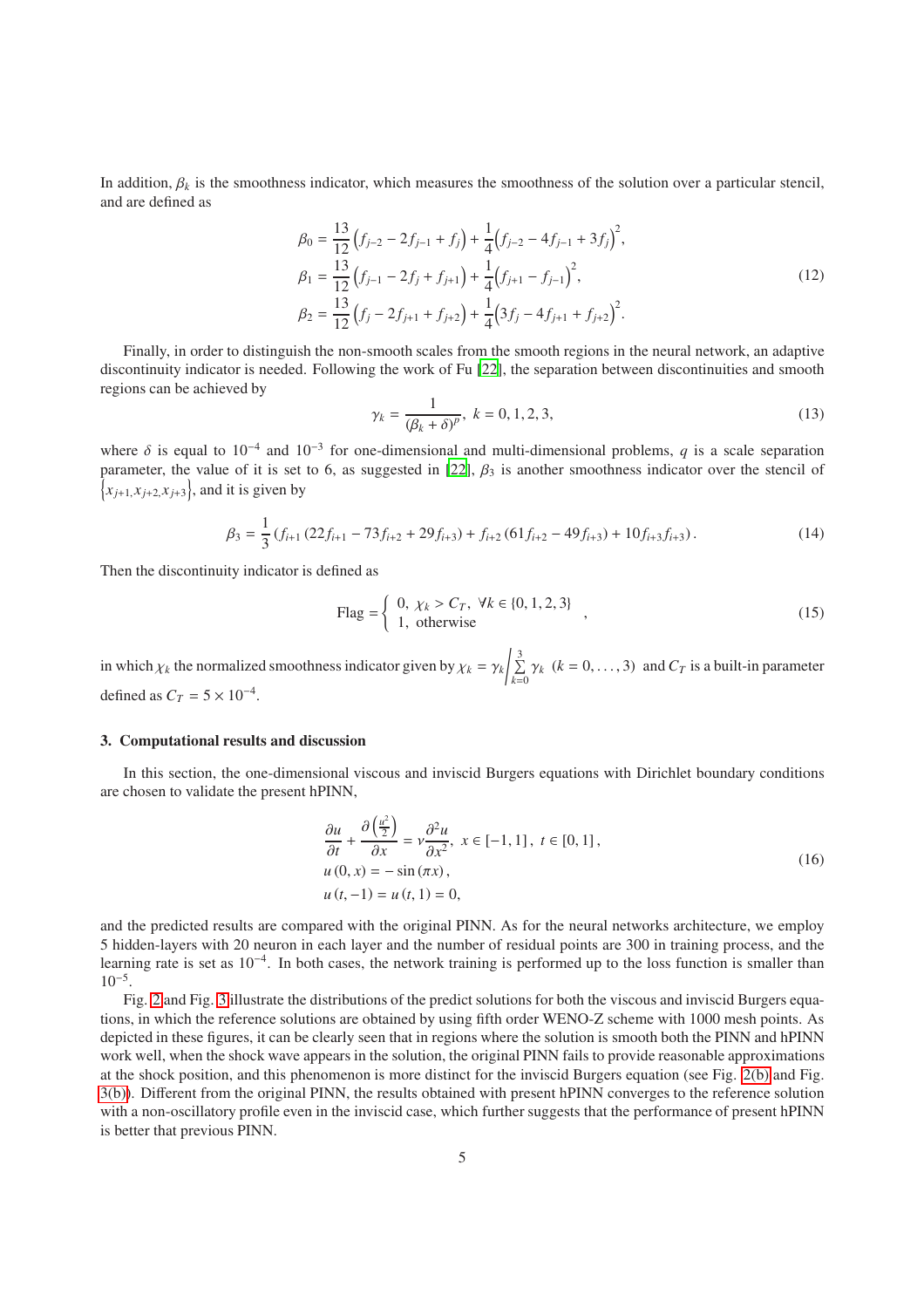In addition,  $\beta_k$  is the smoothness indicator, which measures the smoothness of the solution over a particular stencil, and are defined as

$$
\beta_0 = \frac{13}{12} \left( f_{j-2} - 2f_{j-1} + f_j \right) + \frac{1}{4} \left( f_{j-2} - 4f_{j-1} + 3f_j \right)^2,
$$
\n
$$
\beta_1 = \frac{13}{12} \left( f_{j-1} - 2f_j + f_{j+1} \right) + \frac{1}{4} \left( f_{j+1} - f_{j-1} \right)^2,
$$
\n
$$
\beta_2 = \frac{13}{12} \left( f_j - 2f_{j+1} + f_{j+2} \right) + \frac{1}{4} \left( 3f_j - 4f_{j+1} + f_{j+2} \right)^2.
$$
\n(12)

Finally, in order to distinguish the non-smooth scales from the smooth regions in the neural network, an adaptive discontinuity indicator is needed. Following the work of Fu [\[22](#page-7-6)], the separation between discontinuities and smooth regions can be achieved by

$$
\gamma_k = \frac{1}{(\beta_k + \delta)^p}, \ k = 0, 1, 2, 3,
$$
\n(13)

where  $\delta$  is equal to 10<sup>-4</sup> and 10<sup>-3</sup> for one-dimensional and multi-dimensional problems, q is a scale separation parameter, the value of it is set to 6, as suggested in [\[22](#page-7-6)],  $\beta_3$  is another smoothness indicator over the stencil of  $\{x_{j+1}, x_{j+2}, x_{j+3}\}$ , and it is given by

$$
\beta_3 = \frac{1}{3} \left( f_{i+1} \left( 22 f_{i+1} - 73 f_{i+2} + 29 f_{i+3} \right) + f_{i+2} \left( 61 f_{i+2} - 49 f_{i+3} \right) + 10 f_{i+3} f_{i+3} \right). \tag{14}
$$

Then the discontinuity indicator is defined as

$$
\text{Flag} = \left\{ \begin{array}{l} 0, \ \chi_k > C_T, \ \forall k \in \{0, 1, 2, 3\} \\ 1, \ \text{otherwise} \end{array} \right.\n\tag{15}
$$

in which  $\chi_k$  the normalized smoothness indicator given by  $\chi_k = \gamma_k / \sum_{k=1}^3$  $\sum_{k=0} \gamma_k$  ( $k = 0, \ldots, 3$ ) and  $C_T$  is a built-in parameter defined as  $C_T = 5 \times 10^{-4}$ .

### 3. Computational results and discussion

In this section, the one-dimensional viscous and inviscid Burgers equations with Dirichlet boundary conditions are chosen to validate the present hPINN,

$$
\frac{\partial u}{\partial t} + \frac{\partial \left(\frac{u^2}{2}\right)}{\partial x} = v \frac{\partial^2 u}{\partial x^2}, \ x \in [-1, 1], \ t \in [0, 1],
$$
  
 
$$
u(0, x) = -\sin(\pi x),
$$
  
 
$$
u(t, -1) = u(t, 1) = 0,
$$
 (16)

and the predicted results are compared with the original PINN. As for the neural networks architecture, we employ 5 hidden-layers with 20 neuron in each layer and the number of residual points are 300 in training process, and the learning rate is set as 10<sup>-4</sup>. In both cases, the network training is performed up to the loss function is smaller than  $10^{-5}$ .

Fig. [2](#page-5-0) and Fig. [3](#page-6-13) illustrate the distributions of the predict solutions for both the viscous and inviscid Burgers equations, in which the reference solutions are obtained by using fifth order WENO-Z scheme with 1000 mesh points. As depicted in these figures, it can be clearly seen that in regions where the solution is smooth both the PINN and hPINN work well, when the shock wave appears in the solution, the original PINN fails to provide reasonable approximations at the shock position, and this phenomenon is more distinct for the inviscid Burgers equation (see Fig. [2\(b\)](#page-5-1) and Fig. [3\(b\)\)](#page-6-14). Different from the original PINN, the results obtained with present hPINN converges to the reference solution with a non-oscillatory profile even in the inviscid case, which further suggests that the performance of present hPINN is better that previous PINN.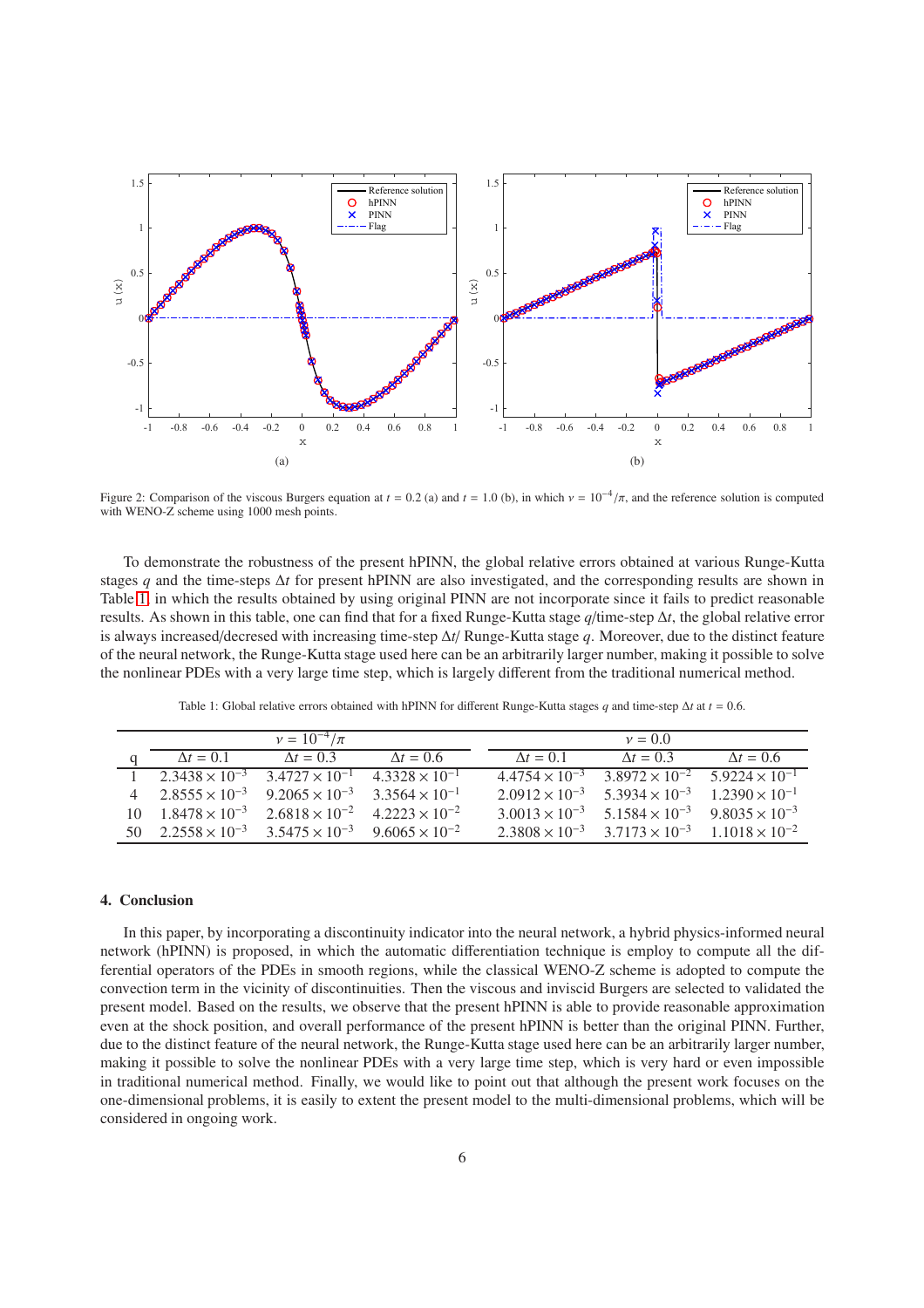<span id="page-5-0"></span>

<span id="page-5-1"></span>Figure 2: Comparison of the viscous Burgers equation at  $t = 0.2$  (a) and  $t = 1.0$  (b), in which  $v = 10^{-4}/\pi$ , and the reference solution is computed with WENO-Z scheme using 1000 mesh points.

To demonstrate the robustness of the present hPINN, the global relative errors obtained at various Runge-Kutta stages *q* and the time-steps ∆*t* for present hPINN are also investigated, and the corresponding results are shown in Table [1,](#page-5-2) in which the results obtained by using original PINN are not incorporate since it fails to predict reasonable results. As shown in this table, one can find that for a fixed Runge-Kutta stage *q*/time-step ∆*t*, the global relative error is always increased/decresed with increasing time-step ∆*t*/ Runge-Kutta stage *q*. Moreover, due to the distinct feature of the neural network, the Runge-Kutta stage used here can be an arbitrarily larger number, making it possible to solve the nonlinear PDEs with a very large time step, which is largely different from the traditional numerical method.

| Table 1: Global relative errors obtained with hPINN for different Runge-Kutta stages q and time-step $\Delta t$ at $t = 0.6$ . |  |
|--------------------------------------------------------------------------------------------------------------------------------|--|
|                                                                                                                                |  |

<span id="page-5-2"></span>

|                                                                     | $v = 10^{-4}/\pi$                                                          |                         |                         | $v=0.0$                                                                 |                   |
|---------------------------------------------------------------------|----------------------------------------------------------------------------|-------------------------|-------------------------|-------------------------------------------------------------------------|-------------------|
| $\Delta t = 0.1$                                                    | $\Delta t = 0.3$                                                           | $\Delta t = 0.6$        | $\Delta t = 0.1$        | $\Delta t = 0.3$                                                        | $\Lambda t = 0.6$ |
| 1 2.3438 $\times$ 10 <sup>-3</sup> 3.4727 $\times$ 10 <sup>-1</sup> |                                                                            | $4.3328 \times 10^{-1}$ | $4.4754 \times 10^{-3}$ | $3.8972 \times 10^{-2}$ $5.9224 \times 10^{-1}$                         |                   |
|                                                                     | 4 $2.8555 \times 10^{-3}$ $9.2065 \times 10^{-3}$ $3.3564 \times 10^{-1}$  |                         |                         | $2.0912 \times 10^{-3}$ $5.3934 \times 10^{-3}$ $1.2390 \times 10^{-1}$ |                   |
|                                                                     | 10 $1.8478 \times 10^{-3}$ $2.6818 \times 10^{-2}$ $4.2223 \times 10^{-2}$ |                         |                         | $3.0013 \times 10^{-3}$ $5.1584 \times 10^{-3}$ $9.8035 \times 10^{-3}$ |                   |
|                                                                     | 50 $2.2558 \times 10^{-3}$ $3.5475 \times 10^{-3}$ $9.6065 \times 10^{-2}$ |                         |                         | $2.3808 \times 10^{-3}$ $3.7173 \times 10^{-3}$ $1.1018 \times 10^{-2}$ |                   |

# 4. Conclusion

In this paper, by incorporating a discontinuity indicator into the neural network, a hybrid physics-informed neural network (hPINN) is proposed, in which the automatic differentiation technique is employ to compute all the differential operators of the PDEs in smooth regions, while the classical WENO-Z scheme is adopted to compute the convection term in the vicinity of discontinuities. Then the viscous and inviscid Burgers are selected to validated the present model. Based on the results, we observe that the present hPINN is able to provide reasonable approximation even at the shock position, and overall performance of the present hPINN is better than the original PINN. Further, due to the distinct feature of the neural network, the Runge-Kutta stage used here can be an arbitrarily larger number, making it possible to solve the nonlinear PDEs with a very large time step, which is very hard or even impossible in traditional numerical method. Finally, we would like to point out that although the present work focuses on the one-dimensional problems, it is easily to extent the present model to the multi-dimensional problems, which will be considered in ongoing work.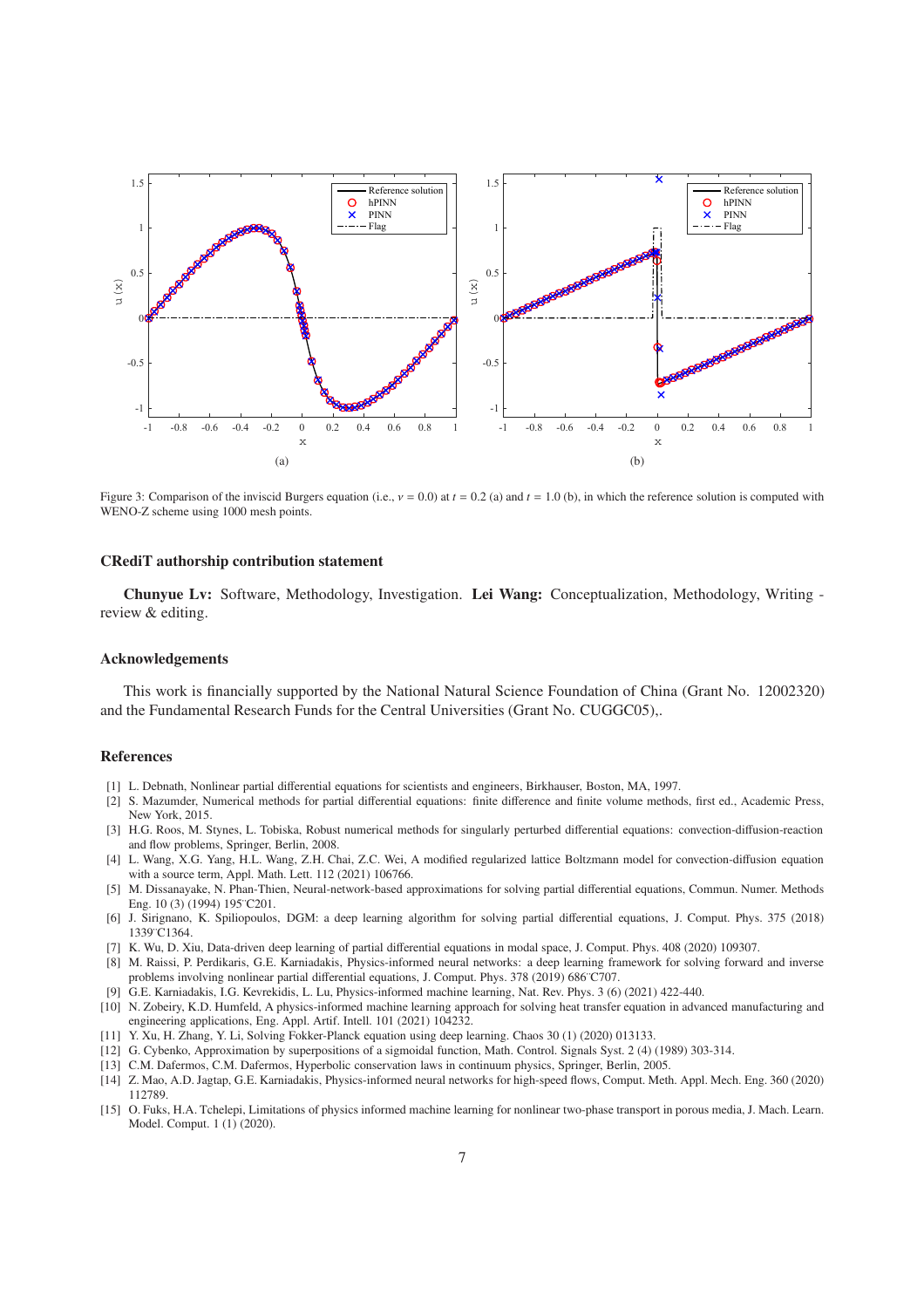<span id="page-6-13"></span>

<span id="page-6-14"></span>Figure 3: Comparison of the inviscid Burgers equation (i.e., ν = 0.0) at *t* = 0.2 (a) and *t* = 1.0 (b), in which the reference solution is computed with WENO-Z scheme using 1000 mesh points.

#### CRediT authorship contribution statement

Chunyue Lv: Software, Methodology, Investigation. Lei Wang: Conceptualization, Methodology, Writing review & editing.

#### Acknowledgements

This work is financially supported by the National Natural Science Foundation of China (Grant No. 12002320) and the Fundamental Research Funds for the Central Universities (Grant No. CUGGC05),.

#### References

- <span id="page-6-0"></span>[1] L. Debnath, Nonlinear partial differential equations for scientists and engineers, Birkhauser, Boston, MA, 1997.
- <span id="page-6-1"></span>[2] S. Mazumder, Numerical methods for partial differential equations: finite difference and finite volume methods, first ed., Academic Press, New York, 2015.
- <span id="page-6-2"></span>[3] H.G. Roos, M. Stynes, L. Tobiska, Robust numerical methods for singularly perturbed differential equations: convection-diffusion-reaction and flow problems, Springer, Berlin, 2008.
- <span id="page-6-3"></span>[4] L. Wang, X.G. Yang, H.L. Wang, Z.H. Chai, Z.C. Wei, A modified regularized lattice Boltzmann model for convection-diffusion equation with a source term, Appl. Math. Lett. 112 (2021) 106766.
- <span id="page-6-4"></span>[5] M. Dissanayake, N. Phan-Thien, Neural-network-based approximations for solving partial differential equations, Commun. Numer. Methods Eng. 10 (3) (1994) 195¨C201.
- [6] J. Sirignano, K. Spiliopoulos, DGM: a deep learning algorithm for solving partial differential equations, J. Comput. Phys. 375 (2018) 1339¨C1364.
- [7] K. Wu, D. Xiu, Data-driven deep learning of partial differential equations in modal space, J. Comput. Phys. 408 (2020) 109307.
- <span id="page-6-5"></span>[8] M. Raissi, P. Perdikaris, G.E. Karniadakis, Physics-informed neural networks: a deep learning framework for solving forward and inverse problems involving nonlinear partial differential equations, J. Comput. Phys. 378 (2019) 686 C707.
- <span id="page-6-6"></span>[9] G.E. Karniadakis, I.G. Kevrekidis, L. Lu, Physics-informed machine learning, Nat. Rev. Phys. 3 (6) (2021) 422-440.
- <span id="page-6-7"></span>[10] N. Zobeiry, K.D. Humfeld, A physics-informed machine learning approach for solving heat transfer equation in advanced manufacturing and engineering applications, Eng. Appl. Artif. Intell. 101 (2021) 104232.
- <span id="page-6-8"></span>[11] Y. Xu, H. Zhang, Y. Li, Solving Fokker-Planck equation using deep learning. Chaos 30 (1) (2020) 013133.
- <span id="page-6-9"></span>[12] G. Cybenko, Approximation by superpositions of a sigmoidal function, Math. Control. Signals Syst. 2 (4) (1989) 303-314.
- <span id="page-6-10"></span>[13] C.M. Dafermos, C.M. Dafermos, Hyperbolic conservation laws in continuum physics, Springer, Berlin, 2005.
- <span id="page-6-11"></span>[14] Z. Mao, A.D. Jagtap, G.E. Karniadakis, Physics-informed neural networks for high-speed flows, Comput. Meth. Appl. Mech. Eng. 360 (2020) 112789.
- <span id="page-6-12"></span>[15] O. Fuks, H.A. Tchelepi, Limitations of physics informed machine learning for nonlinear two-phase transport in porous media, J. Mach. Learn. Model. Comput. 1 (1) (2020).